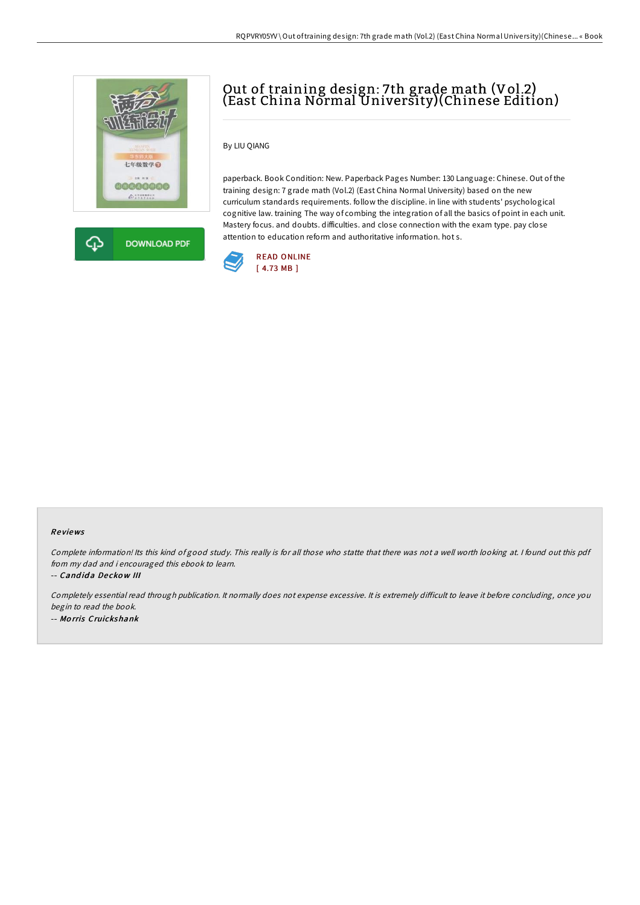



# Out of training design: 7th grade math (Vol.2) (East China Normal University)(Chinese Edition)

### By LIU QIANG

paperback. Book Condition: New. Paperback Pages Number: 130 Language: Chinese. Out of the training design: 7 grade math (Vol.2) (East China Normal University) based on the new curriculum standards requirements. follow the discipline. in line with students' psychological cognitive law. training The way of combing the integration of all the basics of point in each unit. Mastery focus. and doubts. difficulties. and close connection with the exam type. pay close attention to education reform and authoritative information. hot s.



#### Re views

Complete information! Its this kind of good study. This really is for all those who statte that there was not <sup>a</sup> well worth looking at. <sup>I</sup> found out this pdf from my dad and i encouraged this ebook to learn.

-- Cand id a De cko <sup>w</sup> III

Completely essential read through publication. It normally does not expense excessive. It is extremely difficult to leave it before concluding, once you begin to read the book. -- Mo rris Cruickshank